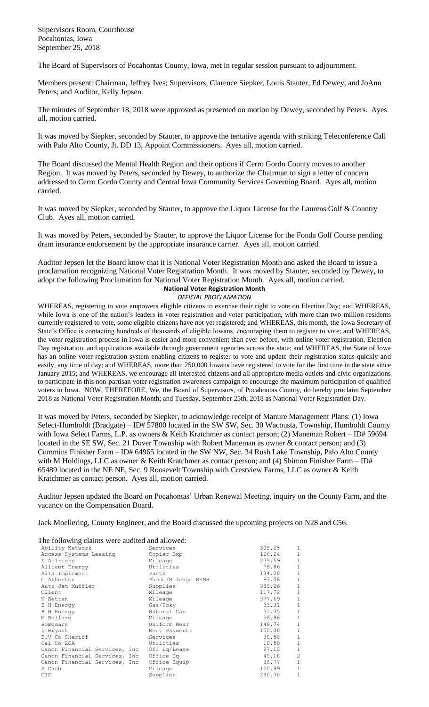Supervisors Room, Courthouse Pocahontas, Iowa September 25, 2018

The Board of Supervisors of Pocahontas County, Iowa, met in regular session pursuant to adjournment.

Members present: Chairman, Jeffrey Ives; Supervisors, Clarence Siepker, Louis Stauter, Ed Dewey, and JoAnn Peters; and Auditor, Kelly Jepsen.

The minutes of September 18, 2018 were approved as presented on motion by Dewey, seconded by Peters. Ayes all, motion carried.

It was moved by Siepker, seconded by Stauter, to approve the tentative agenda with striking Teleconference Call with Palo Alto County, Jt. DD 13, Appoint Commissioners. Ayes all, motion carried.

The Board discussed the Mental Health Region and their options if Cerro Gordo County moves to another Region. It was moved by Peters, seconded by Dewey, to authorize the Chairman to sign a letter of concern addressed to Cerro Gordo County and Central Iowa Community Services Governing Board. Ayes all, motion carried.

It was moved by Siepker, seconded by Stauter, to approve the Liquor License for the Laurens Golf & Country Club. Ayes all, motion carried.

It was moved by Peters, seconded by Stauter, to approve the Liquor License for the Fonda Golf Course pending dram insurance endorsement by the appropriate insurance carrier. Ayes all, motion carried.

Auditor Jepsen let the Board know that it is National Voter Registration Month and asked the Board to issue a proclamation recognizing National Voter Registration Month. It was moved by Stauter, seconded by Dewey, to adopt the following Proclamation for National Voter Registration Month. Ayes all, motion carried. **National Voter Registration Month**

## *OFFICIAL PROCLAMATION*

WHEREAS, registering to vote empowers eligible citizens to exercise their right to vote on Election Day; and WHEREAS, while Iowa is one of the nation's leaders in voter registration and voter participation, with more than two-million residents currently registered to vote, some eligible citizens have not yet registered; and WHEREAS, this month, the Iowa Secretary of State's Office is contacting hundreds of thousands of eligible Iowans, encouraging them to register to vote; and WHEREAS, the voter registration process in Iowa is easier and more convenient than ever before, with online voter registration, Election Day registration, and applications available through government agencies across the state; and WHEREAS, the State of Iowa has an online voter registration system enabling citizens to register to vote and update their registration status quickly and easily, any time of day; and WHEREAS, more than 250,000 Iowans have registered to vote for the first time in the state since January 2015; and WHEREAS, we encourage all interested citizens and all appropriate media outlets and civic organizations to participate in this non-partisan voter registration awareness campaign to encourage the maximum participation of qualified voters in Iowa. NOW, THEREFORE, We, the Board of Supervisors, of Pocahontas County, do hereby proclaim September 2018 as National Voter Registration Month; and Tuesday, September 25th, 2018 as National Voter Registration Day.

It was moved by Peters, seconded by Siepker, to acknowledge receipt of Manure Management Plans: (1) Iowa Select-Humboldt (Bradgate) – ID# 57800 located in the SW SW, Sec. 30 Wacousta, Township, Humboldt County with Iowa Select Farms, L.P. as owners & Keith Kratchmer as contact person; (2) Maneman Robert – ID# 59694 located in the SE SW, Sec. 21 Dover Township with Robert Maneman as owner & contact person; and (3) Cummins Finisher Farm – ID# 64965 located in the SW NW, Sec. 34 Rush Lake Township, Palo Alto County with M Holdings, LLC as owner & Keith Kratchmer as contact person; and (4) Shimon Finisher Farm - ID# 65489 located in the NE NE, Sec. 9 Roosevelt Township with Crestview Farms, LLC as owner & Keith Kratchmer as contact person. Ayes all, motion carried.

Auditor Jepsen updated the Board on Pocahontas' Urban Renewal Meeting, inquiry on the County Farm, and the vacancy on the Compensation Board.

Jack Moellering, County Engineer, and the Board discussed the upcoming projects on N28 and C56.

The following claims were audited and allowed:

| The Tono wing elanno were address and anowed. |                    |        |                |
|-----------------------------------------------|--------------------|--------|----------------|
| Ability Network                               | Services           | 305.05 | 1              |
| Access Systems Leasing                        | Copier Exp         | 126.24 | $\mathbf{1}$   |
| E Ahlrichs                                    | Mileage            | 279.59 | $\mathbf 1$    |
| Alliant Energy                                | Utilities          | 78.86  | $1\,$          |
| Alta Implement                                | Parts              | 134.20 | $1\,$          |
| G Atherton                                    | Phone/Mileage REMB | 87.08  | $1\,$          |
| Auto-Jet Muffler                              | Supplies           | 339.26 | $\,1\,$        |
| Client                                        | Mileage            | 117.72 | $\,1\,$        |
| N Betten                                      | Mileage            | 377.69 | $1\,$          |
| <b>B</b> H Energy                             | Gas/Poky           | 33.31  | $1\,$          |
| <b>B</b> H Energy                             | Natural Gas        | 31.35  | $\,1\,$        |
| M Bollard                                     | Mileage            | 58.86  | $\,1\,$        |
| Bomgaars                                      | Uniform Wear       | 148.74 | $\mathbf{1}$   |
| D Bryant                                      | Rent Payments      | 150.00 | $1\,$          |
| B.V Co Sheriff                                | Services           | 30.50  | $\mathbf 1$    |
| Cal Co ECA                                    | Utilities          | 10.50  | $\mathbf 1$    |
| Canon Financial Services, Inc Off Eq/Lease    |                    | 87.12  | $1\,$          |
| Canon Financial Services, Inc Office Eq       |                    | 49.18  | $\overline{c}$ |
| Canon Financial Services, Inc Office Equip    |                    | 38.77  | $1\,$          |
| S Cash                                        | Mileage            | 120.99 | $1\,$          |
| <b>CID</b>                                    | Supplies           | 290.30 | $\mathbf{1}$   |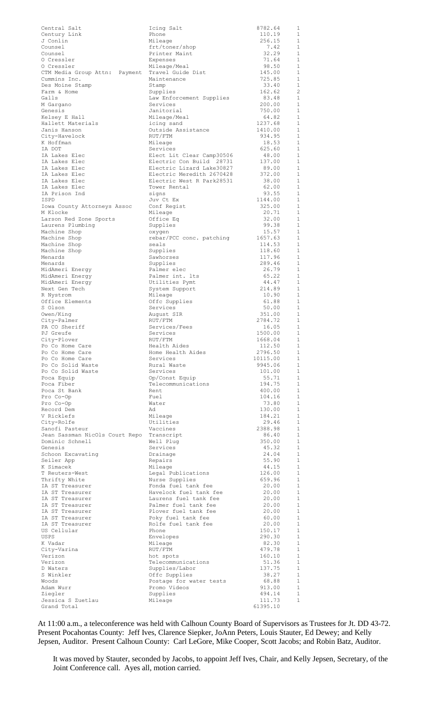| Central Salt                                | Icing Salt                                             | 8782.64           | 1                            |
|---------------------------------------------|--------------------------------------------------------|-------------------|------------------------------|
| Century Link<br>J Conlin                    | Phone<br>Mileage                                       | 110.19<br>256.15  | 1<br>1                       |
| Counsel                                     | frt/toner/shop                                         | 7.42              | 1                            |
| Counsel                                     | Printer Maint                                          | 32.29             | $\mathbf{1}$                 |
| O Cressler                                  | Expenses                                               | 71.64             | $\mathbf{1}$                 |
| O Cressler<br>CTM Media Group Attn: Payment | Mileage/Meal<br>Travel Guide Dist                      | 98.50<br>145.00   | $\mathbf{1}$<br>1            |
| Cummins Inc.                                | Maintenance                                            | 725.85            | $\mathbf{1}$                 |
| Des Moine Stamp                             | Stamp                                                  | 33.40             | 1                            |
| Farm & Home                                 | Supplies                                               | 162.62            | $\overline{c}$               |
| Galls<br>M Gargano                          | Law Enforcement Supplies<br>Services                   | 83.48<br>200.00   | 1<br>$\mathbf{1}$            |
| Genesis                                     | Janitorial                                             | 750.00            | 1                            |
| Kelsey E Hall                               | Mileage/Meal                                           | 64.82             | $\mathbf{1}$                 |
| Hallett Materials                           | icing sand                                             | 1237.68           | 1                            |
| Janis Hanson                                | Outside Assistance                                     | 1410.00           | $\mathbf{1}$                 |
| City-Havelock<br>K Hoffman                  | RUT/FTM<br>Mileage                                     | 934.95<br>18.53   | 1<br>$\mathbf{1}$            |
| IA DOT                                      | Services                                               | 625.60            | 1                            |
| IA Lakes Elec                               | Elect Lit Clear Camp30506                              | 48.00             | $\mathbf{1}$                 |
| IA Lakes Elec                               | Electric Con Build 28731                               | 137.00            | 1                            |
| IA Lakes Elec<br>IA Lakes Elec              | Electric Lizard Lake30827<br>Electric Meredith 2670428 | 89.00<br>372.00   | $\mathbf{1}$<br>1            |
| IA Lakes Elec                               | Electric West R Park28531                              | 38.00             | 1                            |
| IA Lakes Elec                               | Tower Rental                                           | 62.00             | 1                            |
| IA Prison Ind                               | signs                                                  | 93.55             | 1                            |
| ISPD                                        | Juv Ct Ex                                              | 1144.00           | 1                            |
| Iowa County Attorneys Assoc<br>M Klocke     | Conf Regist<br>Mileage                                 | 325.00<br>20.71   | 1<br>1                       |
| Larson Red Zone Sports                      | Office Eq                                              | 32.00             | 1                            |
| Laurens Plumbing                            | Supplies                                               | 99.38             | 1                            |
| Machine Shop                                | oxygen                                                 | 15.57             | 1                            |
| Machine Shop                                | rebar/PCC conc. patching<br>seals                      | 1657.63<br>114.53 | 1<br>$\mathbf{1}$            |
| Machine Shop<br>Machine Shop                | Supplies                                               | 118.60            | 1                            |
| Menards                                     | Sawhorses                                              | 117.96            | $\mathbf{1}$                 |
| Menards                                     | Supplies                                               | 289.46            | 1                            |
| MidAmeri Energy                             | Palmer elec                                            | 26.79             | $\mathbf{1}$                 |
| MidAmeri Energy<br>MidAmeri Energy          | Palmer int. Its<br>Utilities Pymt                      | 65.22<br>44.47    | 1<br>$\mathbf{1}$            |
| Next Gen Tech                               | System Support                                         | 214.89            | 1                            |
| R Nystrom                                   | Mileage                                                | 10.90             | 1                            |
| Office Elements                             | Offc Supplies                                          | 61.88             | 1                            |
| S Olson                                     | Services                                               | 50.00             | 1                            |
| Owen/King<br>City-Palmer                    | August SIR<br>RUT/FTM                                  | 351.00<br>2784.72 | $\mathbf{1}$<br>$\mathbf{1}$ |
| PA CO Sheriff                               | Services/Fees                                          | 16.05             | 1                            |
| PJ Greufe                                   | Services                                               | 1500.00           | 1                            |
| City-Plover                                 | RUT/FTM                                                | 1668.04           | $\overline{1}$               |
| Po Co Home Care<br>Po Co Home Care          | Health Aides<br>Home Health Aides                      | 112.50<br>2796.50 | 1<br>$\mathbf{1}$            |
| Po Co Home Care                             | Services                                               | 10115.00          | $\mathbf{1}$                 |
| Po Co Solid Waste                           | Rural Waste                                            | 9945.06           | -1                           |
| Po Co Solid Waste                           | Services                                               | 101.00            | 1                            |
| Poca Equip                                  | Op/Const Equip                                         | 55.71             | -1                           |
| Poca Fiber<br>Poca St Bank                  | Telecommunications<br>Rent                             | 194.75<br>400.00  | 1<br>-1                      |
| Pro Co-Op                                   | Fuel                                                   | 104.16            | 1                            |
| Pro Co-Op                                   | Water                                                  | 73.80             | $\mathbf{1}$                 |
| Record Dem                                  | Ad                                                     | 130.00            | 1                            |
| V Ricklefs<br>City-Rolfe                    | Mileage<br>Utilities                                   | 184.21<br>29.46   | $\mathbf{1}$<br>1            |
| Sanofi Pasteur                              | Vaccines                                               | 2388.98           | $\mathbf{1}$                 |
| Jean Sassman NicOls Court Repo Transcript   |                                                        | 86.40             | $\mathbf{1}$                 |
| Dominic Schnell                             | Well Plug                                              | 350.00            | $\mathbf{1}$                 |
| Genesis                                     | Services                                               | 45.32             | 1                            |
| Schoon Excavating<br>Seiler App             | Drainage<br>Repairs                                    | 24.04<br>55.90    | $\mathbf{1}$<br>1            |
| K Simacek                                   | Mileage                                                | 44.15             | $\mathbf{1}$                 |
| T Reuters-West                              | Legal Publications                                     | 126.00            | 1                            |
| Thrifty White                               | Nurse Supplies                                         | 659.96            | 1                            |
| IA ST Treasurer<br>IA ST Treasurer          | Fonda fuel tank fee<br>Havelock fuel tank fee          | 20.00<br>20.00    | 1<br>1                       |
| IA ST Treasurer                             | Laurens fuel tank fee                                  | 20.00             | 1                            |
| IA ST Treasurer                             | Palmer fuel tank fee                                   | 20.00             | 1                            |
| IA ST Treasurer                             | Plover fuel tank fee                                   | 20.00             | 1                            |
| IA ST Treasurer<br>IA ST Treasurer          | Poky fuel tank fee<br>Rolfe fuel tank fee              | 60.00<br>20.00    | 1<br>1                       |
| US Cellular                                 | Phone                                                  | 150.17            | 1                            |
| USPS                                        | Envelopes                                              | 290.30            | 1                            |
| K Vadar                                     | Mileage                                                | 82.30             | 1                            |
| City-Varina                                 | RUT/FTM                                                | 479.78            | 1                            |
| Verizon<br>Verizon                          | hot spots<br>Telecommunications                        | 160.10<br>51.36   | 1<br>1                       |
| D Waters                                    | Supplies/Labor                                         | 137.75            | 1                            |
| S Winkler                                   | Offc Supplies                                          | 38.27             | $\mathbf{1}$                 |
| Woods                                       | Postage for water tests                                | 68.88             | 1                            |
| Adam Wurr<br>Ziegler                        | Promo Videos<br>Supplies                               | 913.00<br>494.14  | $\mathbf{1}$<br>1            |
| Jessica S Zuetlau                           | Mileage                                                | 111.73            | $1\,$                        |
| Grand Total                                 |                                                        | 61395.10          |                              |

At 11:00 a.m., a teleconference was held with Calhoun County Board of Supervisors as Trustees for Jt. DD 43-72. Present Pocahontas County: Jeff Ives, Clarence Siepker, JoAnn Peters, Louis Stauter, Ed Dewey; and Kelly Jepsen, Auditor. Present Calhoun County: Carl LeGore, Mike Cooper, Scott Jacobs; and Robin Batz, Auditor.

It was moved by Stauter, seconded by Jacobs, to appoint Jeff Ives, Chair, and Kelly Jepsen, Secretary, of the Joint Conference call. Ayes all, motion carried.